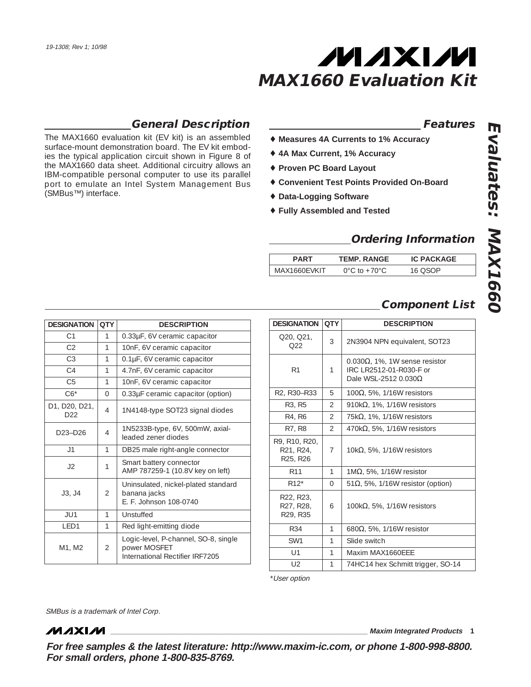

## **General Description**

**QTY DESCRIPTION**

4.7nF, 6V ceramic capacitor

0.33µF ceramic capacitor (option) 1N4148-type SOT23 signal diodes

1N5233B-type, 6V, 500mW, axial-

10nF, 6V ceramic capacitor 0.33µF, 6V ceramic capacitor

The MAX1660 evaluation kit (EV kit) is an assembled surface-mount demonstration board. The EV kit embodies the typical application circuit shown in Figure 8 of the MAX1660 data sheet. Additional circuitry allows an IBM-compatible personal computer to use its parallel port to emulate an Intel System Management Bus (SMBus™) interface.

C3 1 0.1µF, 6V ceramic capacitor

C5 1 10nF, 6V ceramic capacitor

J1 | 1 DB25 male right-angle connector

leaded zener diodes

banana jacks

power MOSFET

E. F. Johnson 108-0740

AMP 787259-1 (10.8V key on left)

Uninsulated, nickel-plated standard

Logic-level, P-channel, SO-8, single

International Rectifier IRF7205

J2 <sup>1</sup> Smart battery connector

LED1 | 1 | Red light-emitting diode

### **Features**

- ♦ **Measures 4A Currents to 1% Accuracy**
- ♦ **4A Max Current, 1% Accuracy**
- ♦ **Proven PC Board Layout**
- ♦ **Convenient Test Points Provided On-Board**
- ♦ **Data-Logging Software**
- ♦ **Fully Assembled and Tested**

### **Ordering Information**

| PART | <b>TEMP. RANGE</b>                 | <b>IC PACKAGE</b> |
|------|------------------------------------|-------------------|
| VKIT | $0^{\circ}$ C to +70 $^{\circ}$ C. | $\Omega$          |

### **Component List**

| QTY            | <b>DESCRIPTION</b>                                                                               |
|----------------|--------------------------------------------------------------------------------------------------|
| 3              | 2N3904 NPN equivalent, SOT23                                                                     |
| 1              | $0.030\Omega$ , 1%, 1W sense resistor<br>IRC LR2512-01-R030-F or<br>Dale WSL-2512 0.030 $\Omega$ |
| 5              | 100 $Ω$ , 5%, 1/16W resistors                                                                    |
| $\overline{2}$ | 910 $k\Omega$ , 1%, 1/16W resistors                                                              |
| $\overline{2}$ | 75k $\Omega$ , 1%, 1/16W resistors                                                               |
| $\mathcal{P}$  | 470 $k\Omega$ , 5%, 1/16W resistors                                                              |
| 7              | 10k $\Omega$ , 5%, 1/16W resistors                                                               |
| 1              | 1ΜΩ, 5%, 1/16W resistor                                                                          |
| $\Omega$       | 51 $\Omega$ , 5%, 1/16W resistor (option)                                                        |
| 6              | 100 $k\Omega$ , 5%, 1/16W resistors                                                              |
| 1              | 680 $\Omega$ , 5%, 1/16W resistor                                                                |
| 1              | Slide switch                                                                                     |
| 1              | Maxim MAX1660FFF                                                                                 |
| 1              | 74HC14 hex Schmitt trigger, SO-14                                                                |
|                |                                                                                                  |

\*User option

SMBus is a trademark of Intel Corp.

JU1 1 Unstuffed

 $C1$  1  $C2$  | 1

**DESIGNATION QTY** 

 $C4$  | 1

 $C6^*$  0

 $D20, D21, 4$ 

 $D23-D26$  4

 $J3, J4$  | 2

 $M1, M2$  2

D1, D20, D21,

**MAXIM** 

**For free samples & the latest literature: http://www.maxim-ic.com, or phone 1-800-998-8800. For small orders, phone 1-800-835-8769.**

**\_\_\_\_\_\_\_\_\_\_\_\_\_\_\_\_\_\_\_\_\_\_\_\_\_\_\_\_\_\_\_\_\_\_\_\_\_\_\_\_\_\_\_\_\_\_\_\_\_\_\_\_\_\_\_\_\_\_\_\_\_\_\_\_ Maxim Integrated Products 1**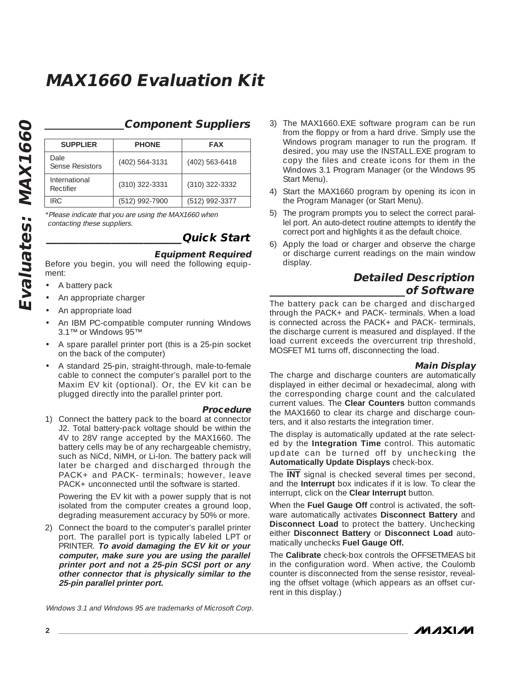### **Component Suppliers**

| <b>SUPPLIER</b>            | <b>PHONE</b>     | <b>FAX</b>       |
|----------------------------|------------------|------------------|
| Dale<br>Sense Resistors    | (402) 564-3131   | $(402)$ 563-6418 |
| International<br>Rectifier | $(310)$ 322-3331 | $(310)$ 322-3332 |
| IRC.                       | (512) 992-7900   | (512) 992-3377   |

\*Please indicate that you are using the MAX1660 when contacting these suppliers.

## **\_\_\_\_\_\_\_\_\_\_\_\_\_\_\_\_\_\_\_\_\_\_\_\_\_Quick Start**

#### **Equipment Required**

Before you begin, you will need the following equipment:

- A battery pack
- An appropriate charger
- An appropriate load
- An IBM PC-compatible computer running Windows 3.1™ or Windows 95™
- A spare parallel printer port (this is a 25-pin socket on the back of the computer)
- A standard 25-pin, straight-through, male-to-female cable to connect the computer's parallel port to the Maxim EV kit (optional). Or, the EV kit can be plugged directly into the parallel printer port.
	- **Procedure**
- 1) Connect the battery pack to the board at connector J2. Total battery-pack voltage should be within the 4V to 28V range accepted by the MAX1660. The battery cells may be of any rechargeable chemistry, such as NiCd, NiMH, or Li-Ion. The battery pack will later be charged and discharged through the PACK+ and PACK- terminals; however, leave PACK+ unconnected until the software is started.

Powering the EV kit with a power supply that is not isolated from the computer creates a ground loop, degrading measurement accuracy by 50% or more.

- 2) Connect the board to the computer's parallel printer port. The parallel port is typically labeled LPT or PRINTER. **To avoid damaging the EV kit or your computer, make sure you are using the parallel printer port and not a 25-pin SCSI port or any other connector that is physically similar to the 25-pin parallel printer port.**
- Windows 3.1 and Windows 95 are trademarks of Microsoft Corp.
- 3) The MAX1660.EXE software program can be run from the floppy or from a hard drive. Simply use the Windows program manager to run the program. If desired, you may use the INSTALL.EXE program to copy the files and create icons for them in the Windows 3.1 Program Manager (or the Windows 95 Start Menu).
- 4) Start the MAX1660 program by opening its icon in the Program Manager (or Start Menu).
- 5) The program prompts you to select the correct parallel port. An auto-detect routine attempts to identify the correct port and highlights it as the default choice.
- 6) Apply the load or charger and observe the charge or discharge current readings on the main window display.

### **Detailed Description \_\_\_\_\_\_\_\_\_\_\_\_\_\_\_\_\_\_\_\_\_\_\_\_\_of Software**

The battery pack can be charged and discharged through the PACK+ and PACK- terminals. When a load is connected across the PACK+ and PACK- terminals, the discharge current is measured and displayed. If the load current exceeds the overcurrent trip threshold, MOSFET M1 turns off, disconnecting the load.

#### **Main Display**

The charge and discharge counters are automatically displayed in either decimal or hexadecimal, along with the corresponding charge count and the calculated current values. The **Clear Counters** button commands the MAX1660 to clear its charge and discharge counters, and it also restarts the integration timer.

The display is automatically updated at the rate selected by the **Integration Time** control. This automatic update can be turned off by unchecking the **Automatically Update Displays** check-box.

The INT signal is checked several times per second, and the **Interrupt** box indicates if it is low. To clear the interrupt, click on the **Clear Interrupt** button.

When the Fuel Gauge Off control is activated, the software automatically activates **Disconnect Battery** and **Disconnect Load** to protect the battery. Unchecking either **Disconnect Battery** or **Disconnect Load** automatically unchecks **Fuel Gauge Off.**

The **Calibrate** check-box controls the OFFSETMEAS bit in the configuration word. When active, the Coulomb counter is disconnected from the sense resistor, revealing the offset voltage (which appears as an offset current in this display.)

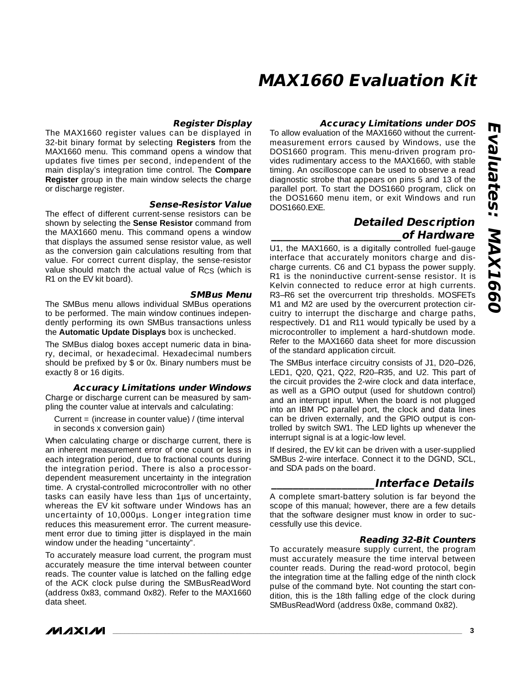#### **Register Display**

The MAX1660 register values can be displayed in 32-bit binary format by selecting **Registers** from the MAX1660 menu. This command opens a window that updates five times per second, independent of the main display's integration time control. The **Compare Register** group in the main window selects the charge or discharge register.

#### **Sense-Resistor Value**

The effect of different current-sense resistors can be shown by selecting the **Sense Resistor** command from the MAX1660 menu. This command opens a window that displays the assumed sense resistor value, as well as the conversion gain calculations resulting from that value. For correct current display, the sense-resistor value should match the actual value of R<sub>CS</sub> (which is R1 on the EV kit board).

**SMBus Menu** The SMBus menu allows individual SMBus operations to be performed. The main window continues independently performing its own SMBus transactions unless the **Automatic Update Displays** box is unchecked.

The SMBus dialog boxes accept numeric data in binary, decimal, or hexadecimal. Hexadecimal numbers should be prefixed by \$ or 0x. Binary numbers must be exactly 8 or 16 digits.

#### **Accuracy Limitations under Windows**

Charge or discharge current can be measured by sampling the counter value at intervals and calculating:

Current = (increase in counter value) / (time interval in seconds x conversion gain)

When calculating charge or discharge current, there is an inherent measurement error of one count or less in each integration period, due to fractional counts during the integration period. There is also a processordependent measurement uncertainty in the integration time. A crystal-controlled microcontroller with no other tasks can easily have less than 1µs of uncertainty, whereas the EV kit software under Windows has an uncertainty of 10,000µs. Longer integration time reduces this measurement error. The current measurement error due to timing jitter is displayed in the main window under the heading "uncertainty".

To accurately measure load current, the program must accurately measure the time interval between counter reads. The counter value is latched on the falling edge of the ACK clock pulse during the SMBusReadWord (address 0x83, command 0x82). Refer to the MAX1660 data sheet.

### **Accuracy Limitations under DOS**

To allow evaluation of the MAX1660 without the currentmeasurement errors caused by Windows, use the DOS1660 program. This menu-driven program provides rudimentary access to the MAX1660, with stable timing. An oscilloscope can be used to observe a read diagnostic strobe that appears on pins 5 and 13 of the parallel port. To start the DOS1660 program, click on the DOS1660 menu item, or exit Windows and run DOS1660.EXE.

### **Detailed Description \_\_\_\_\_\_\_\_\_\_\_\_\_\_\_\_\_\_\_\_\_\_\_\_of Hardware**

U1, the MAX1660, is a digitally controlled fuel-gauge interface that accurately monitors charge and discharge currents. C6 and C1 bypass the power supply. R1 is the noninductive current-sense resistor. It is Kelvin connected to reduce error at high currents. R3–R6 set the overcurrent trip thresholds. MOSFETs M1 and M2 are used by the overcurrent protection circuitry to interrupt the discharge and charge paths, respectively. D1 and R11 would typically be used by a microcontroller to implement a hard-shutdown mode. Refer to the MAX1660 data sheet for more discussion of the standard application circuit.

The SMBus interface circuitry consists of J1, D20–D26, LED1, Q20, Q21, Q22, R20–R35, and U2. This part of the circuit provides the 2-wire clock and data interface, as well as a GPIO output (used for shutdown control) and an interrupt input. When the board is not plugged into an IBM PC parallel port, the clock and data lines can be driven externally, and the GPIO output is controlled by switch SW1. The LED lights up whenever the interrupt signal is at a logic-low level.

If desired, the EV kit can be driven with a user-supplied SMBus 2-wire interface. Connect it to the DGND, SCL, and SDA pads on the board.

### **\_\_\_\_\_\_\_\_\_\_\_\_\_\_\_\_\_\_\_Interface Details**

A complete smart-battery solution is far beyond the scope of this manual; however, there are a few details that the software designer must know in order to successfully use this device.

#### **Reading 32-Bit Counters**

To accurately measure supply current, the program must accurately measure the time interval between counter reads. During the read-word protocol, begin the integration time at the falling edge of the ninth clock pulse of the command byte. Not counting the start condition, this is the 18th falling edge of the clock during SMBusReadWord (address 0x8e, command 0x82).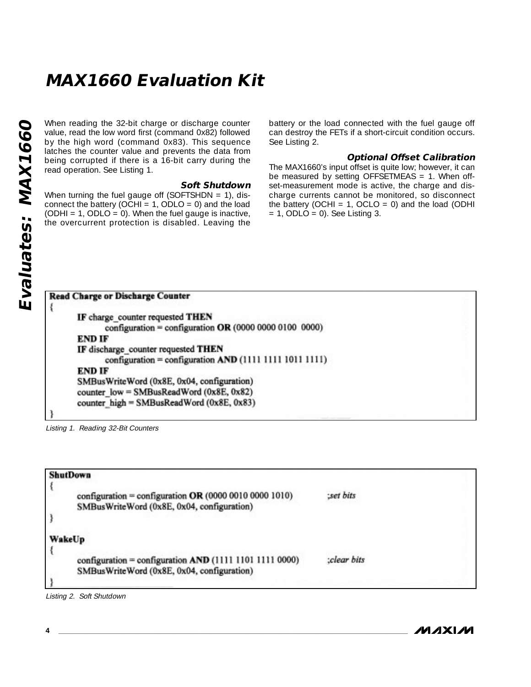When reading the 32-bit charge or discharge counter<br>value, read the low word first (command 0x82) followed<br>by the high word (command 0x83). This sequence<br>latches the counter value and prevents the data from<br>read operation. value, read the low word first (command 0x82) followed by the high word (command 0x83). This sequence latches the counter value and prevents the data from being corrupted if there is a 16-bit carry during the read operation. See Listing 1.

#### **Soft Shutdown**

When turning the fuel gauge off (SOFTSHDN =  $1$ ), disconnect the battery (OCHI = 1, ODLO = 0) and the load (ODHI =  $1$ , ODLO = 0). When the fuel gauge is inactive, the overcurrent protection is disabled. Leaving the

battery or the load connected with the fuel gauge off can destroy the FETs if a short-circuit condition occurs. See Listing 2.

#### **Optional Offset Calibration**

The MAX1660's input offset is quite low; however, it can be measured by setting OFFSETMEAS = 1. When offset-measurement mode is active, the charge and discharge currents cannot be monitored, so disconnect the battery (OCHI = 1, OCLO = 0) and the load (ODHI  $= 1$ , ODLO  $= 0$ ). See Listing 3.

| <b>Read Charge or Discharge Counter</b>                 |
|---------------------------------------------------------|
|                                                         |
| IF charge counter requested THEN                        |
| configuration = configuration OR (0000 0000 0100 0000)  |
| END IF                                                  |
| IF discharge counter requested THEN                     |
| configuration = configuration AND (1111 1111 1011 1111) |
| <b>END IF</b>                                           |
| SMBusWriteWord (0x8E, 0x04, configuration)              |
| counter $low = SMBusReadWord (0x8E, 0x82)$              |
| counter high = SMBusReadWord (0x8E, 0x83)               |
|                                                         |

Listing 1. Reading 32-Bit Counters

| <b>ShutDown</b>                                                                                       |             |
|-------------------------------------------------------------------------------------------------------|-------------|
| configuration = configuration OR (0000 0010 0000 1010)<br>SMBusWriteWord (0x8E, 0x04, configuration)  | :set bits   |
| WakeUp                                                                                                |             |
| configuration = configuration AND (1111 1101 1111 0000)<br>SMBusWriteWord (0x8E, 0x04, configuration) | :clear bits |
|                                                                                                       |             |

Listing 2. Soft Shutdown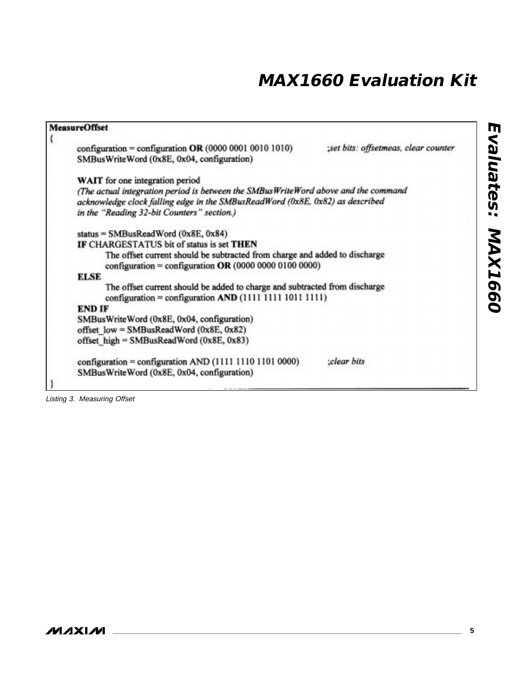| <b>MeasureOffset</b>                                                                                                                   |                                      |
|----------------------------------------------------------------------------------------------------------------------------------------|--------------------------------------|
| configuration = configuration OR $(0000 0001 0010 1010)$                                                                               | :set bits: offsetmeas, clear counter |
| SMBusWriteWord (0x8E, 0x04, configuration)                                                                                             |                                      |
| WAIT for one integration period                                                                                                        |                                      |
| (The actual integration period is between the SMBusWriteWord above and the command                                                     |                                      |
| acknowledge clock falling edge in the SMBusReadWord (0x8E, 0x82) as described                                                          |                                      |
| in the "Reading 32-bit Counters" section.)                                                                                             |                                      |
| status = SMBusReadWord (0x8E, 0x84)                                                                                                    |                                      |
| IF CHARGESTATUS bit of status is set THEN                                                                                              |                                      |
| The offset current should be subtracted from charge and added to discharge<br>configuration = configuration OR $(0000 0000 0100 0000)$ |                                      |
| <b>ELSE</b>                                                                                                                            |                                      |
| The offset current should be added to charge and subtracted from discharge                                                             |                                      |
|                                                                                                                                        |                                      |
| <b>END IF</b>                                                                                                                          |                                      |
| SMBusWriteWord (0x8E, 0x04, configuration)                                                                                             |                                      |
| offset low = SMBusReadWord (0x8E, 0x82)                                                                                                |                                      |
| offset high = SMBusReadWord (0x8E, 0x83)                                                                                               |                                      |
| configuration = configuration AND (1111 1110 1101 0000)                                                                                | :clear bits                          |
| SMBusWriteWord (0x8E, 0x04, configuration)                                                                                             |                                      |
|                                                                                                                                        |                                      |

Listing 3. Measuring Offset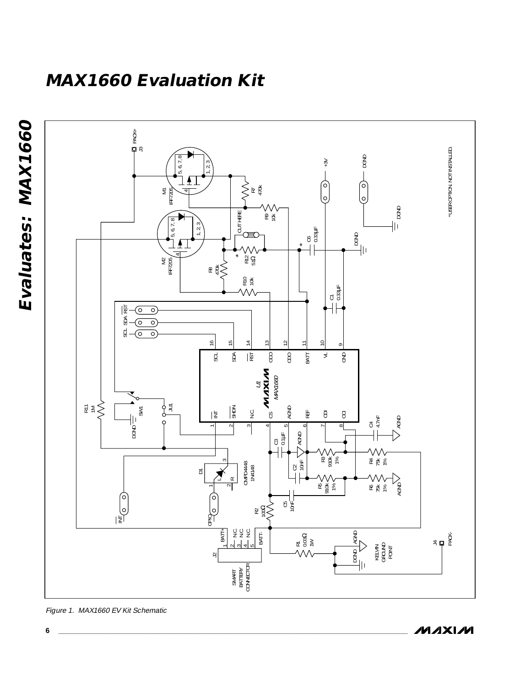**Evaluates: MAX1660**  Evaluates: MAX1660



Figure 1. MAX1660 EV Kit Schematic

**MAXIM**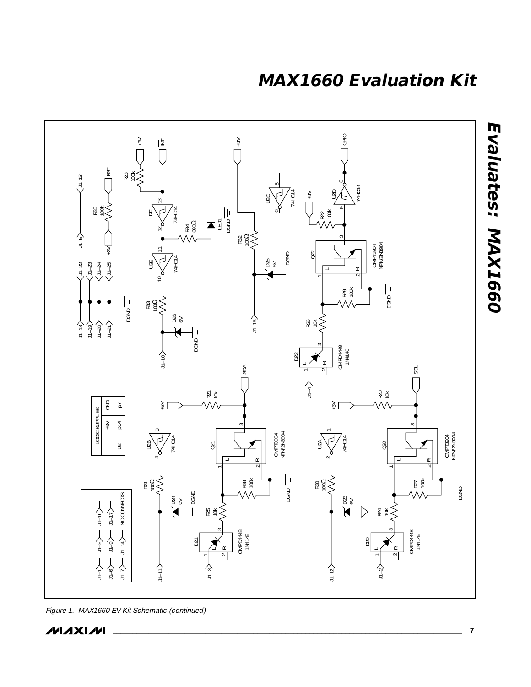

Figure 1. MAX1660 EV Kit Schematic (continued)

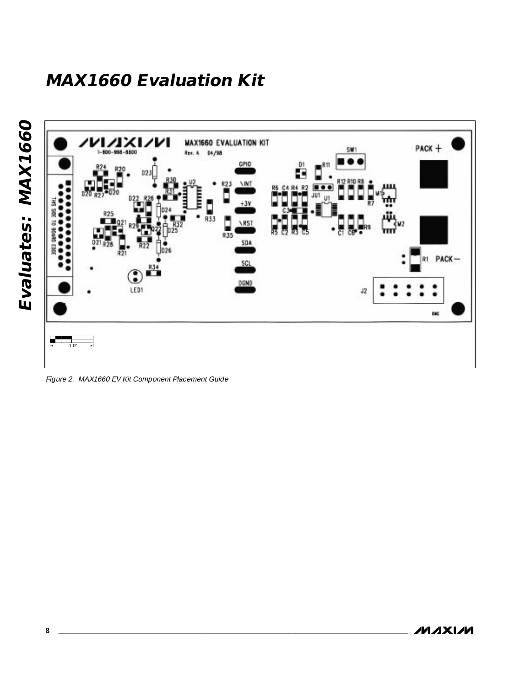

Figure 2. MAX1660 EV Kit Component Placement Guide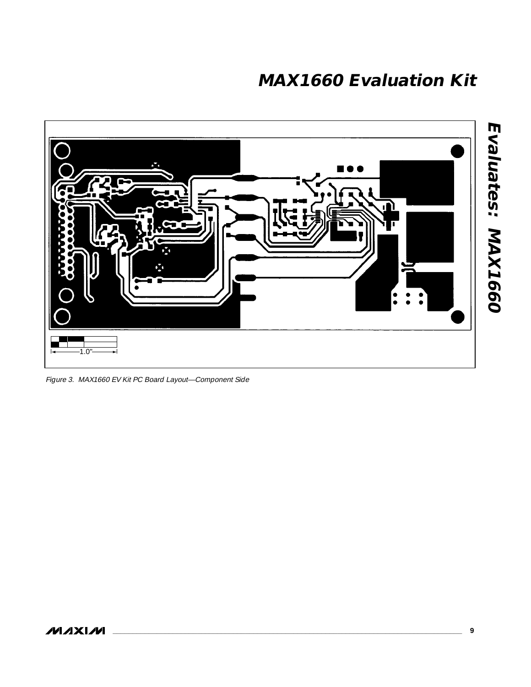

Figure 3. MAX1660 EV Kit PC Board Layout—Component Side

**Evaluates: MAX1660**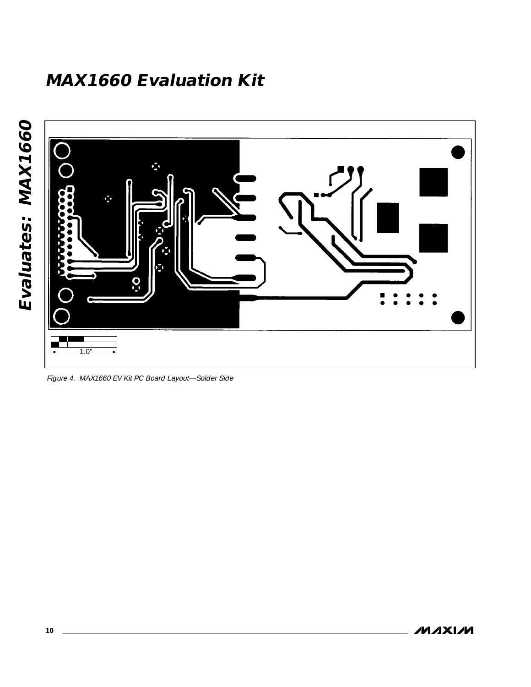



Figure 4. MAX1660 EV Kit PC Board Layout—Solder Side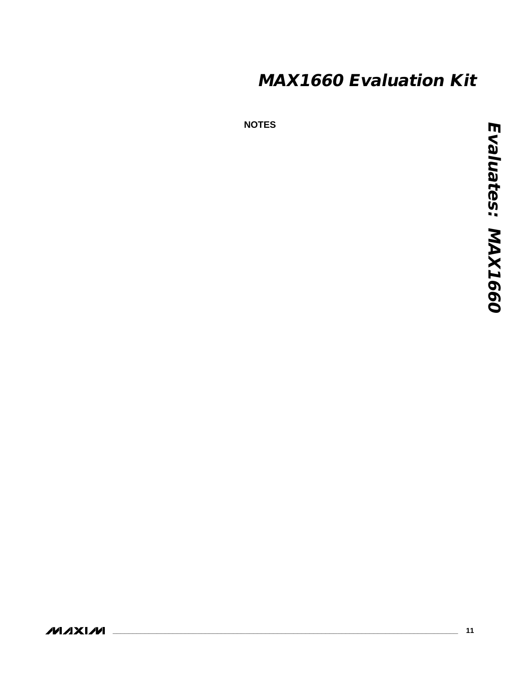**NOTES**

**MAXIM**